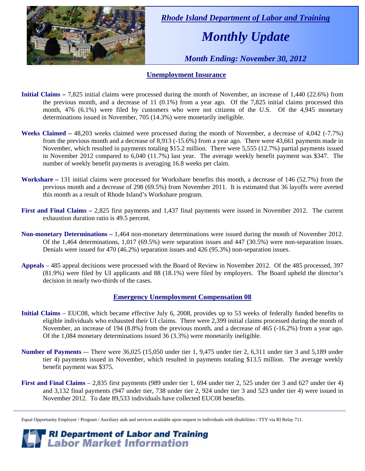

 *Rhode Island Department of Labor and Training* 

# *Monthly Update*

 *Month Ending: November 30, 2012* 

### **Unemployment Insurance**

- **Initial Claims** 7,825 initial claims were processed during the month of November, an increase of 1,440 (22.6%) from the previous month, and a decrease of 11 (0.1%) from a year ago. Of the 7,825 initial claims processed this month, 476 (6.1%) were filed by customers who were not citizens of the U.S. Of the 4,945 monetary determinations issued in November, 705 (14.3%) were monetarily ineligible.
- **Weeks Claimed** 48,203 weeks claimed were processed during the month of November, a decrease of 4,042 (-7.7%) from the previous month and a decrease of 8,913 (-15.6%) from a year ago. There were 43,661 payments made in November, which resulted in payments totaling \$15.2 million. There were 5,555 (12.7%) partial payments issued in November 2012 compared to 6,040 (11.7%) last year. The average weekly benefit payment was \$347. The number of weekly benefit payments is averaging 16.8 weeks per claim.
- **Workshare –** 131 initial claims were processed for Workshare benefits this month, a decrease of 146 (52.7%) from the previous month and a decrease of 298 (69.5%) from November 2011. It is estimated that 36 layoffs were averted this month as a result of Rhode Island's Workshare program.
- **First and Final Claims –** 2,825 first payments and 1,437 final payments were issued in November 2012. The current exhaustion duration ratio is 49.5 percent.
- **Non-monetary Determinations –** 1,464 non-monetary determinations were issued during the month of November 2012. Of the 1,464 determinations, 1,017 (69.5%) were separation issues and 447 (30.5%) were non-separation issues. Denials were issued for 470 (46.2%) separation issues and 426 (95.3%) non-separation issues.
- **Appeals** 485 appeal decisions were processed with the Board of Review in November 2012. Of the 485 processed, 397 (81.9%) were filed by UI applicants and 88 (18.1%) were filed by employers. The Board upheld the director's decision in nearly two-thirds of the cases.

### **Emergency Unemployment Compensation 08**

- **Initial Claims**  EUC08, which became effective July 6, 2008, provides up to 53 weeks of federally funded benefits to eligible individuals who exhausted their UI claims. There were 2,399 initial claims processed during the month of November, an increase of 194 (8.8%) from the previous month, and a decrease of 465 (-16.2%) from a year ago. Of the 1,084 monetary determinations issued 36 (3.3%) were monetarily ineligible.
- **Number of Payments** -– There were 36,025 (15,050 under tier 1, 9,475 under tier 2, 6,311 under tier 3 and 5,189 under tier 4) payments issued in November, which resulted in payments totaling \$13.5 million. The average weekly benefit payment was \$375.
- **First and Final Claims**  2,835 first payments (989 under tier 1, 694 under tier 2, 525 under tier 3 and 627 under tier 4) and 3,132 final payments (947 under tier, 738 under tier 2, 924 under tier 3 and 523 under tier 4) were issued in November 2012. To date 89,533 individuals have collected EUC08 benefits.

Equal Opportunity Employer / Program / Auxiliary aids and services available upon request to individuals with disabilities / TTY via RI Relay 711.